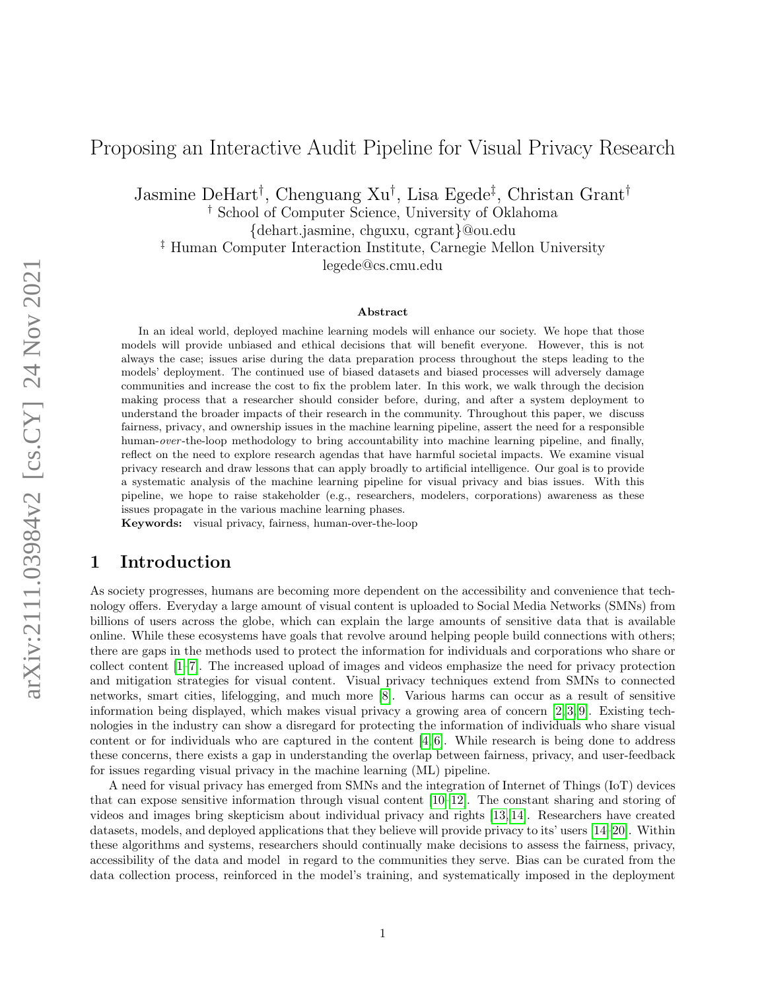# Proposing an Interactive Audit Pipeline for Visual Privacy Research

Jasmine DeHart† , Chenguang Xu† , Lisa Egede‡ , Christan Grant†

† School of Computer Science, University of Oklahoma

{dehart.jasmine, chguxu, cgrant}@ou.edu

‡ Human Computer Interaction Institute, Carnegie Mellon University legede@cs.cmu.edu

Abstract

In an ideal world, deployed machine learning models will enhance our society. We hope that those models will provide unbiased and ethical decisions that will benefit everyone. However, this is not always the case; issues arise during the data preparation process throughout the steps leading to the models' deployment. The continued use of biased datasets and biased processes will adversely damage communities and increase the cost to fix the problem later. In this work, we walk through the decision making process that a researcher should consider before, during, and after a system deployment to understand the broader impacts of their research in the community. Throughout this paper, we discuss fairness, privacy, and ownership issues in the machine learning pipeline, assert the need for a responsible human-over-the-loop methodology to bring accountability into machine learning pipeline, and finally, reflect on the need to explore research agendas that have harmful societal impacts. We examine visual privacy research and draw lessons that can apply broadly to artificial intelligence. Our goal is to provide a systematic analysis of the machine learning pipeline for visual privacy and bias issues. With this pipeline, we hope to raise stakeholder (e.g., researchers, modelers, corporations) awareness as these issues propagate in the various machine learning phases.

Keywords: visual privacy, fairness, human-over-the-loop

## 1 Introduction

As society progresses, humans are becoming more dependent on the accessibility and convenience that technology offers. Everyday a large amount of visual content is uploaded to Social Media Networks (SMNs) from billions of users across the globe, which can explain the large amounts of sensitive data that is available online. While these ecosystems have goals that revolve around helping people build connections with others; there are gaps in the methods used to protect the information for individuals and corporations who share or collect content [\[1](#page-9-0)[–7\]](#page-9-1). The increased upload of images and videos emphasize the need for privacy protection and mitigation strategies for visual content. Visual privacy techniques extend from SMNs to connected networks, smart cities, lifelogging, and much more [\[8\]](#page-9-2). Various harms can occur as a result of sensitive information being displayed, which makes visual privacy a growing area of concern  $[2, 3, 9]$  $[2, 3, 9]$  $[2, 3, 9]$ . Existing technologies in the industry can show a disregard for protecting the information of individuals who share visual content or for individuals who are captured in the content [\[4,](#page-9-5) [6\]](#page-9-6). While research is being done to address these concerns, there exists a gap in understanding the overlap between fairness, privacy, and user-feedback for issues regarding visual privacy in the machine learning (ML) pipeline.

A need for visual privacy has emerged from SMNs and the integration of Internet of Things (IoT) devices that can expose sensitive information through visual content [\[10–](#page-10-1)[12\]](#page-10-2). The constant sharing and storing of videos and images bring skepticism about individual privacy and rights [\[13,](#page-10-3) [14\]](#page-10-4). Researchers have created datasets, models, and deployed applications that they believe will provide privacy to its' users [\[14–](#page-10-4)[20\]](#page-10-5). Within these algorithms and systems, researchers should continually make decisions to assess the fairness, privacy, accessibility of the data and model in regard to the communities they serve. Bias can be curated from the data collection process, reinforced in the model's training, and systematically imposed in the deployment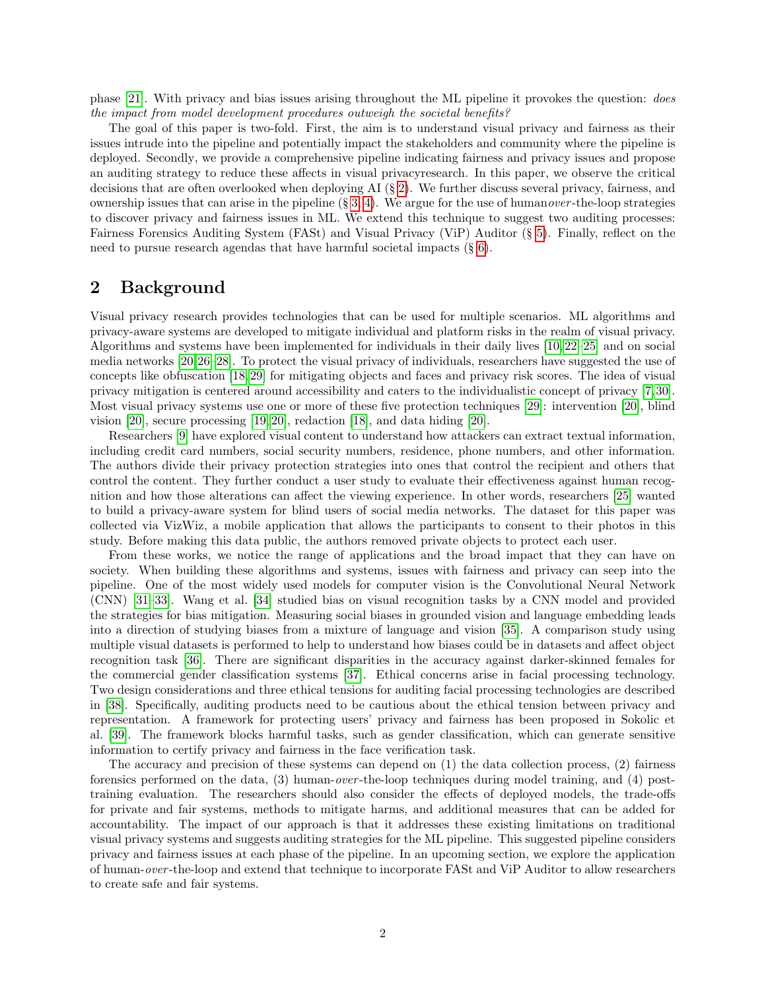phase [\[21\]](#page-10-6). With privacy and bias issues arising throughout the ML pipeline it provokes the question: does the impact from model development procedures outweigh the societal benefits?

The goal of this paper is two-fold. First, the aim is to understand visual privacy and fairness as their issues intrude into the pipeline and potentially impact the stakeholders and community where the pipeline is deployed. Secondly, we provide a comprehensive pipeline indicating fairness and privacy issues and propose an auditing strategy to reduce these affects in visual privacyresearch. In this paper, we observe the critical decisions that are often overlooked when deploying AI (§ [2\)](#page-1-0). We further discuss several privacy, fairness, and ownership issues that can arise in the pipeline  $(\S 3, 4)$  $(\S 3, 4)$  $(\S 3, 4)$ . We argue for the use of humanover-the-loop strategies to discover privacy and fairness issues in ML. We extend this technique to suggest two auditing processes: Fairness Forensics Auditing System (FASt) and Visual Privacy (ViP) Auditor (§ [5\)](#page-6-0). Finally, reflect on the need to pursue research agendas that have harmful societal impacts (§ [6\)](#page-8-0).

## <span id="page-1-0"></span>2 Background

Visual privacy research provides technologies that can be used for multiple scenarios. ML algorithms and privacy-aware systems are developed to mitigate individual and platform risks in the realm of visual privacy. Algorithms and systems have been implemented for individuals in their daily lives [\[10,](#page-10-1) [22](#page-10-7)[–25\]](#page-11-0) and on social media networks [\[20,](#page-10-5)[26–](#page-11-1)[28\]](#page-11-2). To protect the visual privacy of individuals, researchers have suggested the use of concepts like obfuscation [\[18,](#page-10-8) [29\]](#page-11-3) for mitigating objects and faces and privacy risk scores. The idea of visual privacy mitigation is centered around accessibility and caters to the individualistic concept of privacy [\[7,](#page-9-1)[30\]](#page-11-4). Most visual privacy systems use one or more of these five protection techniques [\[29\]](#page-11-3): intervention [\[20\]](#page-10-5), blind vision [\[20\]](#page-10-5), secure processing [\[19,](#page-10-9) [20\]](#page-10-5), redaction [\[18\]](#page-10-8), and data hiding [\[20\]](#page-10-5).

Researchers [\[9\]](#page-10-0) have explored visual content to understand how attackers can extract textual information, including credit card numbers, social security numbers, residence, phone numbers, and other information. The authors divide their privacy protection strategies into ones that control the recipient and others that control the content. They further conduct a user study to evaluate their effectiveness against human recognition and how those alterations can affect the viewing experience. In other words, researchers [\[25\]](#page-11-0) wanted to build a privacy-aware system for blind users of social media networks. The dataset for this paper was collected via VizWiz, a mobile application that allows the participants to consent to their photos in this study. Before making this data public, the authors removed private objects to protect each user.

From these works, we notice the range of applications and the broad impact that they can have on society. When building these algorithms and systems, issues with fairness and privacy can seep into the pipeline. One of the most widely used models for computer vision is the Convolutional Neural Network (CNN) [\[31–](#page-11-5)[33\]](#page-11-6). Wang et al. [\[34\]](#page-11-7) studied bias on visual recognition tasks by a CNN model and provided the strategies for bias mitigation. Measuring social biases in grounded vision and language embedding leads into a direction of studying biases from a mixture of language and vision [\[35\]](#page-11-8). A comparison study using multiple visual datasets is performed to help to understand how biases could be in datasets and affect object recognition task [\[36\]](#page-11-9). There are significant disparities in the accuracy against darker-skinned females for the commercial gender classification systems [\[37\]](#page-11-10). Ethical concerns arise in facial processing technology. Two design considerations and three ethical tensions for auditing facial processing technologies are described in [\[38\]](#page-11-11). Specifically, auditing products need to be cautious about the ethical tension between privacy and representation. A framework for protecting users' privacy and fairness has been proposed in Sokolic et al. [\[39\]](#page-11-12). The framework blocks harmful tasks, such as gender classification, which can generate sensitive information to certify privacy and fairness in the face verification task.

The accuracy and precision of these systems can depend on (1) the data collection process, (2) fairness forensics performed on the data,  $(3)$  human-*over*-the-loop techniques during model training, and  $(4)$  posttraining evaluation. The researchers should also consider the effects of deployed models, the trade-offs for private and fair systems, methods to mitigate harms, and additional measures that can be added for accountability. The impact of our approach is that it addresses these existing limitations on traditional visual privacy systems and suggests auditing strategies for the ML pipeline. This suggested pipeline considers privacy and fairness issues at each phase of the pipeline. In an upcoming section, we explore the application of human-over -the-loop and extend that technique to incorporate FASt and ViP Auditor to allow researchers to create safe and fair systems.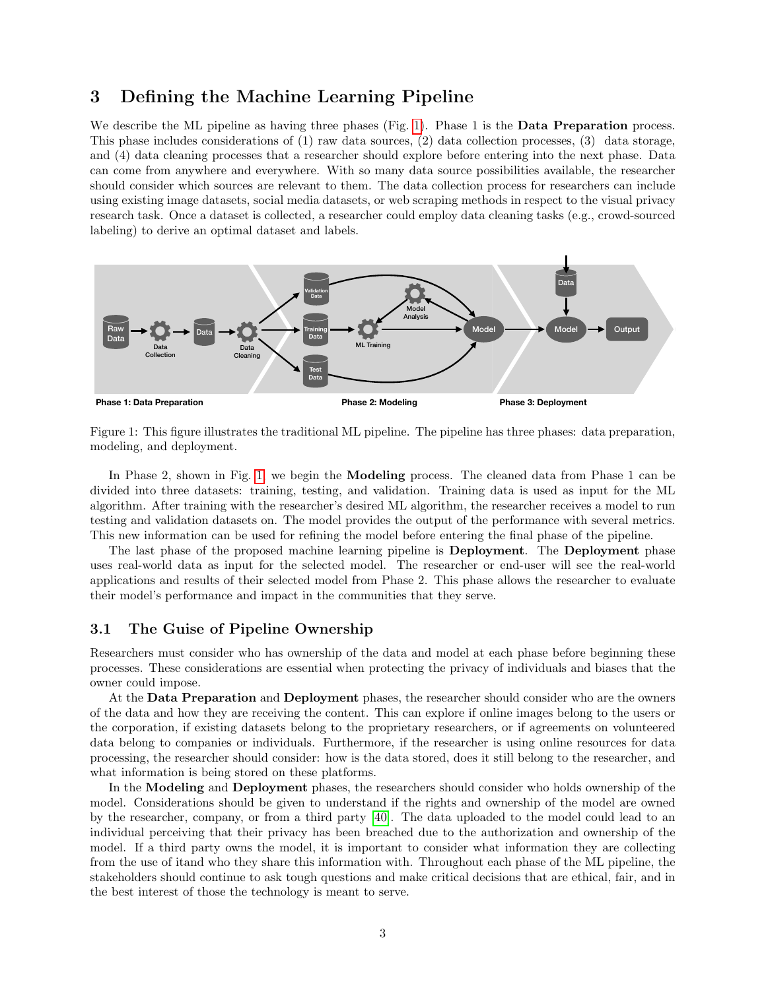## <span id="page-2-0"></span>3 Defining the Machine Learning Pipeline

We describe the ML pipeline as having three phases (Fig. [1\)](#page-2-1). Phase 1 is the **Data Preparation** process. This phase includes considerations of (1) raw data sources, (2) data collection processes, (3) data storage, and (4) data cleaning processes that a researcher should explore before entering into the next phase. Data can come from anywhere and everywhere. With so many data source possibilities available, the researcher should consider which sources are relevant to them. The data collection process for researchers can include using existing image datasets, social media datasets, or web scraping methods in respect to the visual privacy research task. Once a dataset is collected, a researcher could employ data cleaning tasks (e.g., crowd-sourced labeling) to derive an optimal dataset and labels.



<span id="page-2-1"></span>Figure 1: This figure illustrates the traditional ML pipeline. The pipeline has three phases: data preparation, modeling, and deployment.

In Phase 2, shown in Fig. [1,](#page-2-1) we begin the Modeling process. The cleaned data from Phase 1 can be divided into three datasets: training, testing, and validation. Training data is used as input for the ML algorithm. After training with the researcher's desired ML algorithm, the researcher receives a model to run testing and validation datasets on. The model provides the output of the performance with several metrics. This new information can be used for refining the model before entering the final phase of the pipeline.

The last phase of the proposed machine learning pipeline is Deployment. The Deployment phase uses real-world data as input for the selected model. The researcher or end-user will see the real-world applications and results of their selected model from Phase 2. This phase allows the researcher to evaluate their model's performance and impact in the communities that they serve.

#### 3.1 The Guise of Pipeline Ownership

Researchers must consider who has ownership of the data and model at each phase before beginning these processes. These considerations are essential when protecting the privacy of individuals and biases that the owner could impose.

At the **Data Preparation** and **Deployment** phases, the researcher should consider who are the owners of the data and how they are receiving the content. This can explore if online images belong to the users or the corporation, if existing datasets belong to the proprietary researchers, or if agreements on volunteered data belong to companies or individuals. Furthermore, if the researcher is using online resources for data processing, the researcher should consider: how is the data stored, does it still belong to the researcher, and what information is being stored on these platforms.

In the Modeling and Deployment phases, the researchers should consider who holds ownership of the model. Considerations should be given to understand if the rights and ownership of the model are owned by the researcher, company, or from a third party [\[40\]](#page-11-13). The data uploaded to the model could lead to an individual perceiving that their privacy has been breached due to the authorization and ownership of the model. If a third party owns the model, it is important to consider what information they are collecting from the use of itand who they share this information with. Throughout each phase of the ML pipeline, the stakeholders should continue to ask tough questions and make critical decisions that are ethical, fair, and in the best interest of those the technology is meant to serve.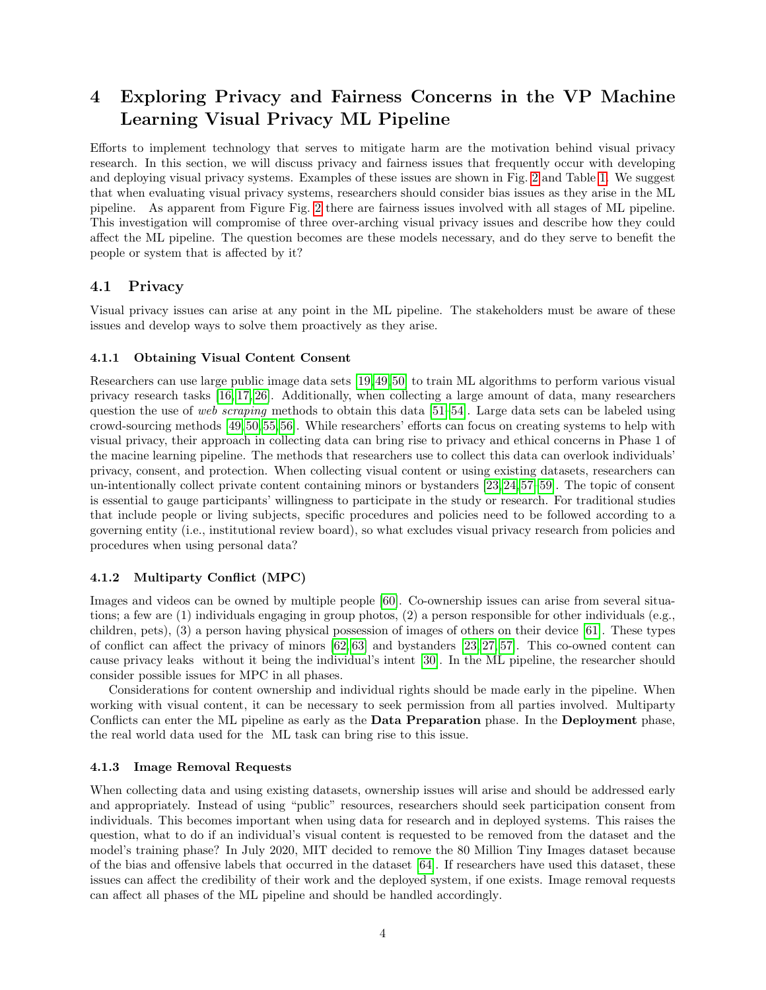## <span id="page-3-0"></span>4 Exploring Privacy and Fairness Concerns in the VP Machine Learning Visual Privacy ML Pipeline

Efforts to implement technology that serves to mitigate harm are the motivation behind visual privacy research. In this section, we will discuss privacy and fairness issues that frequently occur with developing and deploying visual privacy systems. Examples of these issues are shown in Fig. [2](#page-6-1) and Table [1.](#page-4-0) We suggest that when evaluating visual privacy systems, researchers should consider bias issues as they arise in the ML pipeline. As apparent from Figure Fig. [2](#page-6-1) there are fairness issues involved with all stages of ML pipeline. This investigation will compromise of three over-arching visual privacy issues and describe how they could affect the ML pipeline. The question becomes are these models necessary, and do they serve to benefit the people or system that is affected by it?

#### 4.1 Privacy

Visual privacy issues can arise at any point in the ML pipeline. The stakeholders must be aware of these issues and develop ways to solve them proactively as they arise.

#### 4.1.1 Obtaining Visual Content Consent

Researchers can use large public image data sets [\[19,](#page-10-9)[49,](#page-12-0)[50\]](#page-12-1) to train ML algorithms to perform various visual privacy research tasks [\[16,](#page-10-10) [17,](#page-10-11) [26\]](#page-11-1). Additionally, when collecting a large amount of data, many researchers question the use of web scraping methods to obtain this data  $[51–54]$  $[51–54]$ . Large data sets can be labeled using crowd-sourcing methods [\[49,](#page-12-0) [50,](#page-12-1) [55,](#page-12-4) [56\]](#page-12-5). While researchers' efforts can focus on creating systems to help with visual privacy, their approach in collecting data can bring rise to privacy and ethical concerns in Phase 1 of the macine learning pipeline. The methods that researchers use to collect this data can overlook individuals' privacy, consent, and protection. When collecting visual content or using existing datasets, researchers can un-intentionally collect private content containing minors or bystanders [\[23,](#page-10-12) [24,](#page-11-14) [57–](#page-12-6)[59\]](#page-13-0). The topic of consent is essential to gauge participants' willingness to participate in the study or research. For traditional studies that include people or living subjects, specific procedures and policies need to be followed according to a governing entity (i.e., institutional review board), so what excludes visual privacy research from policies and procedures when using personal data?

#### 4.1.2 Multiparty Conflict (MPC)

Images and videos can be owned by multiple people [\[60\]](#page-13-1). Co-ownership issues can arise from several situations; a few are (1) individuals engaging in group photos, (2) a person responsible for other individuals (e.g., children, pets), (3) a person having physical possession of images of others on their device [\[61\]](#page-13-2). These types of conflict can affect the privacy of minors [\[62,](#page-13-3) [63\]](#page-13-4) and bystanders [\[23,](#page-10-12) [27,](#page-11-15) [57\]](#page-12-6). This co-owned content can cause privacy leaks without it being the individual's intent [\[30\]](#page-11-4). In the ML pipeline, the researcher should consider possible issues for MPC in all phases.

Considerations for content ownership and individual rights should be made early in the pipeline. When working with visual content, it can be necessary to seek permission from all parties involved. Multiparty Conflicts can enter the ML pipeline as early as the Data Preparation phase. In the Deployment phase, the real world data used for the ML task can bring rise to this issue.

#### 4.1.3 Image Removal Requests

When collecting data and using existing datasets, ownership issues will arise and should be addressed early and appropriately. Instead of using "public" resources, researchers should seek participation consent from individuals. This becomes important when using data for research and in deployed systems. This raises the question, what to do if an individual's visual content is requested to be removed from the dataset and the model's training phase? In July 2020, MIT decided to remove the 80 Million Tiny Images dataset because of the bias and offensive labels that occurred in the dataset [\[64\]](#page-13-5). If researchers have used this dataset, these issues can affect the credibility of their work and the deployed system, if one exists. Image removal requests can affect all phases of the ML pipeline and should be handled accordingly.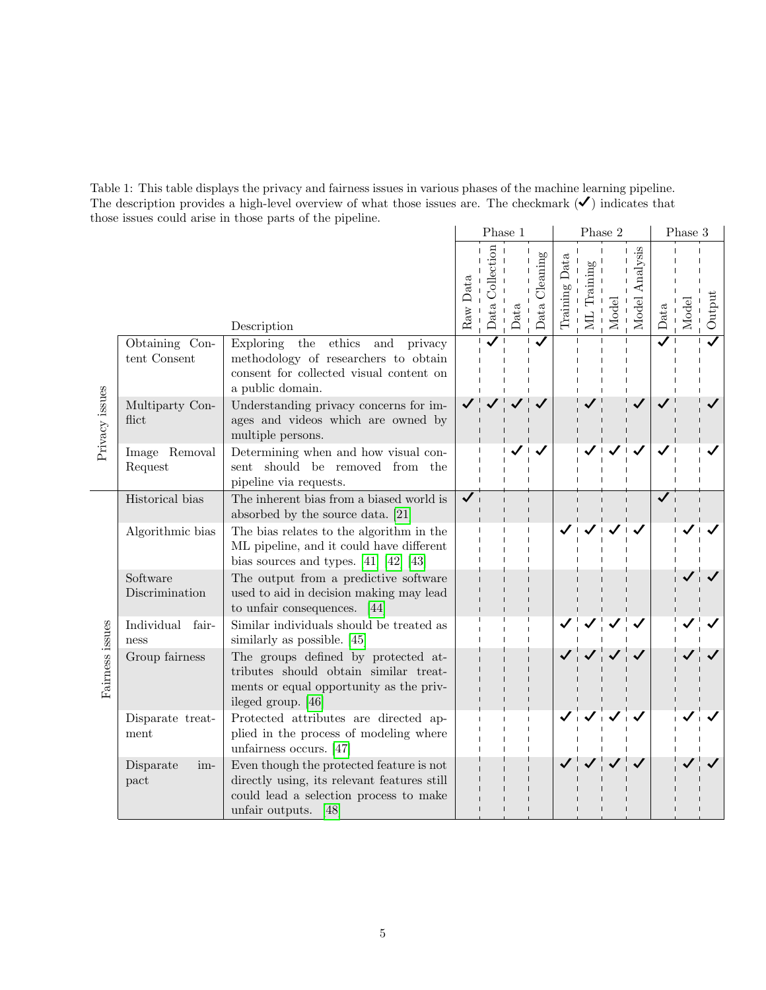<span id="page-4-0"></span>Table 1: This table displays the privacy and fairness issues in various phases of the machine learning pipeline. The description provides a high-level overview of what those issues are. The checkmark  $(\checkmark)$  indicates that those issues could arise in those parts of the pipeline.  $\mathbf{L}$ 

|                 |                                |                                                                                                                                                           | Phase 1      |                 |      | Phase 2       |               |                    |       | Phase 3           |      |      |        |
|-----------------|--------------------------------|-----------------------------------------------------------------------------------------------------------------------------------------------------------|--------------|-----------------|------|---------------|---------------|--------------------|-------|-------------------|------|------|--------|
|                 |                                | Description                                                                                                                                               | Raw Data     | Data Collection | Data | Data Cleaning | Training Data | Training<br>.<br>Н | Model | Analysis<br>Model | Data | Mode | Output |
| Privacy issues  | Obtaining Con-<br>tent Consent | Exploring<br>the<br>$ethics$<br>and<br>privacy<br>methodology of researchers to obtain<br>consent for collected visual content on<br>a public domain.     |              |                 |      |               |               |                    |       |                   |      |      |        |
|                 | Multiparty Con-<br>flict       | Understanding privacy concerns for im-<br>ages and videos which are owned by<br>multiple persons.                                                         |              |                 |      |               |               |                    |       |                   |      |      |        |
|                 | Image Removal<br>Request       | Determining when and how visual con-<br>should be removed from<br>sent<br>the<br>pipeline via requests.                                                   |              |                 |      |               |               |                    |       |                   |      |      |        |
| Fairness issues | Historical bias                | The inherent bias from a biased world is<br>absorbed by the source data. [21]                                                                             | $\checkmark$ |                 |      |               |               |                    |       |                   |      |      |        |
|                 | Algorithmic bias               | The bias relates to the algorithm in the<br>ML pipeline, and it could have different<br>bias sources and types. $[41]$ $[42]$ $[43]$                      |              |                 |      |               |               |                    |       |                   |      |      |        |
|                 | Software<br>Discrimination     | The output from a predictive software<br>used to aid in decision making may lead<br>to unfair consequences. $[44]$                                        |              |                 |      |               |               |                    |       |                   |      |      |        |
|                 | Individual<br>fair-<br>ness    | Similar individuals should be treated as<br>similarly as possible. [45]                                                                                   |              |                 |      |               |               |                    |       |                   |      |      |        |
|                 | Group fairness                 | The groups defined by protected at-<br>tributes should obtain similar treat-<br>ments or equal opportunity as the priv-<br>ileged group. [46]             |              |                 |      |               |               |                    |       |                   |      |      |        |
|                 | Disparate treat-<br>ment       | Protected attributes are directed ap-<br>plied in the process of modeling where<br>unfairness occurs. $[47]$                                              |              |                 |      |               |               |                    |       |                   |      |      |        |
|                 | Disparate<br>im-<br>pact       | Even though the protected feature is not<br>directly using, its relevant features still<br>could lead a selection process to make<br>unfair outputs. [48] |              |                 |      |               |               |                    |       |                   |      |      |        |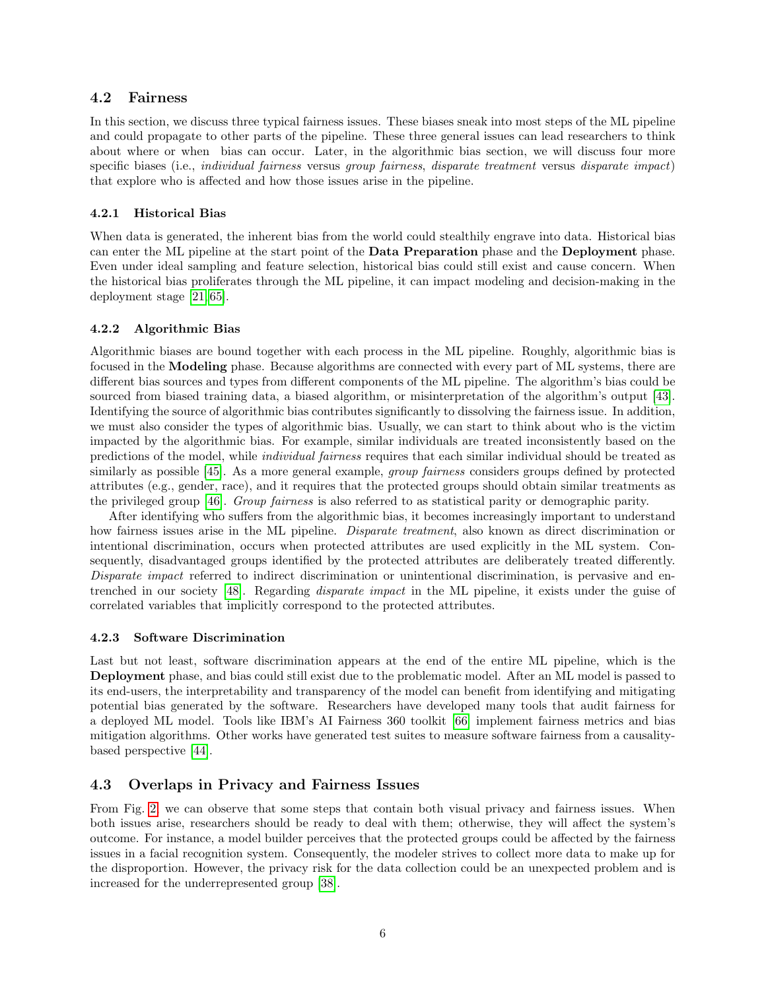#### 4.2 Fairness

In this section, we discuss three typical fairness issues. These biases sneak into most steps of the ML pipeline and could propagate to other parts of the pipeline. These three general issues can lead researchers to think about where or when bias can occur. Later, in the algorithmic bias section, we will discuss four more specific biases (i.e., individual fairness versus group fairness, disparate treatment versus disparate impact) that explore who is affected and how those issues arise in the pipeline.

#### 4.2.1 Historical Bias

When data is generated, the inherent bias from the world could stealthily engrave into data. Historical bias can enter the ML pipeline at the start point of the Data Preparation phase and the Deployment phase. Even under ideal sampling and feature selection, historical bias could still exist and cause concern. When the historical bias proliferates through the ML pipeline, it can impact modeling and decision-making in the deployment stage [\[21,](#page-10-6) [65\]](#page-13-6).

#### 4.2.2 Algorithmic Bias

Algorithmic biases are bound together with each process in the ML pipeline. Roughly, algorithmic bias is focused in the Modeling phase. Because algorithms are connected with every part of ML systems, there are different bias sources and types from different components of the ML pipeline. The algorithm's bias could be sourced from biased training data, a biased algorithm, or misinterpretation of the algorithm's output [\[43\]](#page-12-9). Identifying the source of algorithmic bias contributes significantly to dissolving the fairness issue. In addition, we must also consider the types of algorithmic bias. Usually, we can start to think about who is the victim impacted by the algorithmic bias. For example, similar individuals are treated inconsistently based on the predictions of the model, while individual fairness requires that each similar individual should be treated as similarly as possible [\[45\]](#page-12-11). As a more general example, *group fairness* considers groups defined by protected attributes (e.g., gender, race), and it requires that the protected groups should obtain similar treatments as the privileged group [\[46\]](#page-12-12). Group fairness is also referred to as statistical parity or demographic parity.

After identifying who suffers from the algorithmic bias, it becomes increasingly important to understand how fairness issues arise in the ML pipeline. *Disparate treatment*, also known as direct discrimination or intentional discrimination, occurs when protected attributes are used explicitly in the ML system. Consequently, disadvantaged groups identified by the protected attributes are deliberately treated differently. Disparate impact referred to indirect discrimination or unintentional discrimination, is pervasive and entrenched in our society [\[48\]](#page-12-14). Regarding disparate impact in the ML pipeline, it exists under the guise of correlated variables that implicitly correspond to the protected attributes.

#### 4.2.3 Software Discrimination

Last but not least, software discrimination appears at the end of the entire ML pipeline, which is the Deployment phase, and bias could still exist due to the problematic model. After an ML model is passed to its end-users, the interpretability and transparency of the model can benefit from identifying and mitigating potential bias generated by the software. Researchers have developed many tools that audit fairness for a deployed ML model. Tools like IBM's AI Fairness 360 toolkit [\[66\]](#page-13-7) implement fairness metrics and bias mitigation algorithms. Other works have generated test suites to measure software fairness from a causalitybased perspective [\[44\]](#page-12-10).

### 4.3 Overlaps in Privacy and Fairness Issues

From Fig. [2,](#page-6-1) we can observe that some steps that contain both visual privacy and fairness issues. When both issues arise, researchers should be ready to deal with them; otherwise, they will affect the system's outcome. For instance, a model builder perceives that the protected groups could be affected by the fairness issues in a facial recognition system. Consequently, the modeler strives to collect more data to make up for the disproportion. However, the privacy risk for the data collection could be an unexpected problem and is increased for the underrepresented group [\[38\]](#page-11-11).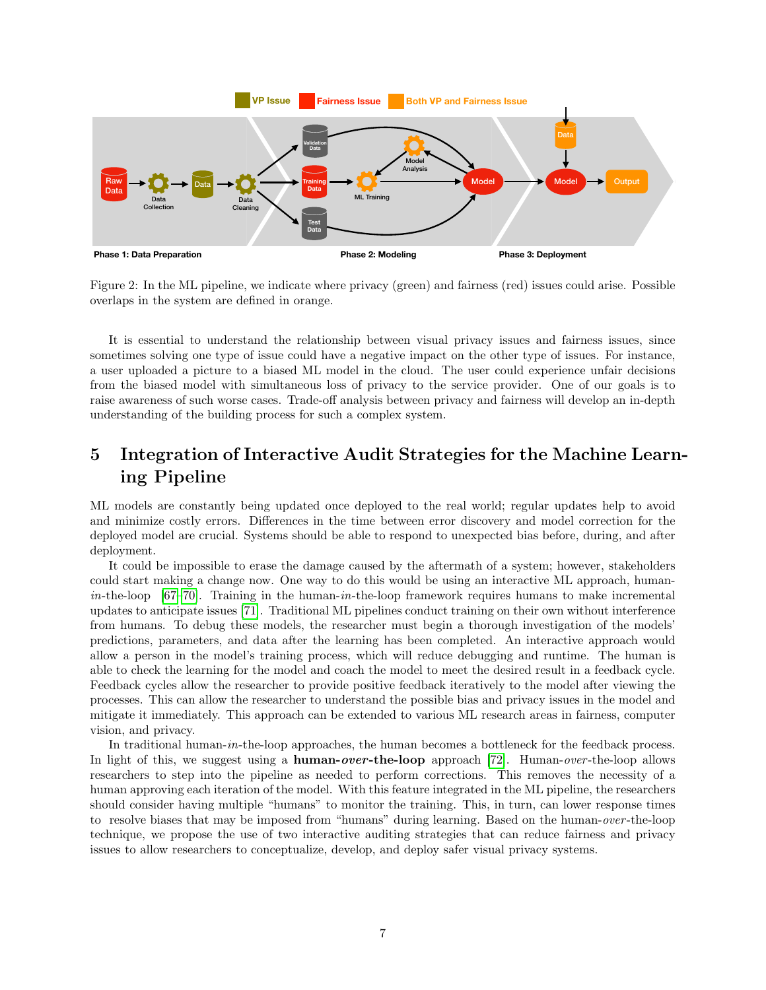

<span id="page-6-1"></span>Figure 2: In the ML pipeline, we indicate where privacy (green) and fairness (red) issues could arise. Possible overlaps in the system are defined in orange.

It is essential to understand the relationship between visual privacy issues and fairness issues, since sometimes solving one type of issue could have a negative impact on the other type of issues. For instance, a user uploaded a picture to a biased ML model in the cloud. The user could experience unfair decisions from the biased model with simultaneous loss of privacy to the service provider. One of our goals is to raise awareness of such worse cases. Trade-off analysis between privacy and fairness will develop an in-depth understanding of the building process for such a complex system.

## <span id="page-6-0"></span>5 Integration of Interactive Audit Strategies for the Machine Learning Pipeline

ML models are constantly being updated once deployed to the real world; regular updates help to avoid and minimize costly errors. Differences in the time between error discovery and model correction for the deployed model are crucial. Systems should be able to respond to unexpected bias before, during, and after deployment.

It could be impossible to erase the damage caused by the aftermath of a system; however, stakeholders could start making a change now. One way to do this would be using an interactive ML approach, human $in$ -the-loop [\[67](#page-13-8)[–70\]](#page-13-9). Training in the human- $in$ -the-loop framework requires humans to make incremental updates to anticipate issues [\[71\]](#page-13-10). Traditional ML pipelines conduct training on their own without interference from humans. To debug these models, the researcher must begin a thorough investigation of the models' predictions, parameters, and data after the learning has been completed. An interactive approach would allow a person in the model's training process, which will reduce debugging and runtime. The human is able to check the learning for the model and coach the model to meet the desired result in a feedback cycle. Feedback cycles allow the researcher to provide positive feedback iteratively to the model after viewing the processes. This can allow the researcher to understand the possible bias and privacy issues in the model and mitigate it immediately. This approach can be extended to various ML research areas in fairness, computer vision, and privacy.

In traditional human-in-the-loop approaches, the human becomes a bottleneck for the feedback process. In light of this, we suggest using a **human-over-the-loop** approach [\[72\]](#page-13-11). Human-over-the-loop allows researchers to step into the pipeline as needed to perform corrections. This removes the necessity of a human approving each iteration of the model. With this feature integrated in the ML pipeline, the researchers should consider having multiple "humans" to monitor the training. This, in turn, can lower response times to resolve biases that may be imposed from "humans" during learning. Based on the human-over -the-loop technique, we propose the use of two interactive auditing strategies that can reduce fairness and privacy issues to allow researchers to conceptualize, develop, and deploy safer visual privacy systems.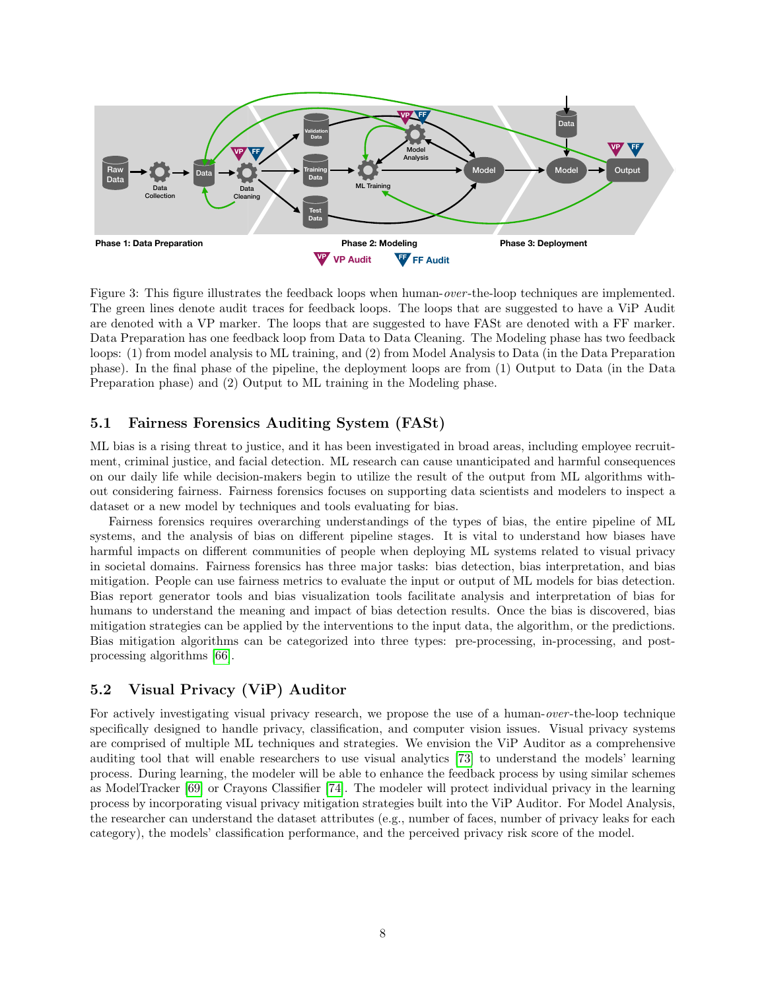

<span id="page-7-0"></span>Figure 3: This figure illustrates the feedback loops when human-over -the-loop techniques are implemented. The green lines denote audit traces for feedback loops. The loops that are suggested to have a ViP Audit are denoted with a VP marker. The loops that are suggested to have FASt are denoted with a FF marker. Data Preparation has one feedback loop from Data to Data Cleaning. The Modeling phase has two feedback loops: (1) from model analysis to ML training, and (2) from Model Analysis to Data (in the Data Preparation phase). In the final phase of the pipeline, the deployment loops are from (1) Output to Data (in the Data Preparation phase) and (2) Output to ML training in the Modeling phase.

#### 5.1 Fairness Forensics Auditing System (FASt)

ML bias is a rising threat to justice, and it has been investigated in broad areas, including employee recruitment, criminal justice, and facial detection. ML research can cause unanticipated and harmful consequences on our daily life while decision-makers begin to utilize the result of the output from ML algorithms without considering fairness. Fairness forensics focuses on supporting data scientists and modelers to inspect a dataset or a new model by techniques and tools evaluating for bias.

Fairness forensics requires overarching understandings of the types of bias, the entire pipeline of ML systems, and the analysis of bias on different pipeline stages. It is vital to understand how biases have harmful impacts on different communities of people when deploying ML systems related to visual privacy in societal domains. Fairness forensics has three major tasks: bias detection, bias interpretation, and bias mitigation. People can use fairness metrics to evaluate the input or output of ML models for bias detection. Bias report generator tools and bias visualization tools facilitate analysis and interpretation of bias for humans to understand the meaning and impact of bias detection results. Once the bias is discovered, bias mitigation strategies can be applied by the interventions to the input data, the algorithm, or the predictions. Bias mitigation algorithms can be categorized into three types: pre-processing, in-processing, and postprocessing algorithms [\[66\]](#page-13-7).

#### 5.2 Visual Privacy (ViP) Auditor

For actively investigating visual privacy research, we propose the use of a human-over-the-loop technique specifically designed to handle privacy, classification, and computer vision issues. Visual privacy systems are comprised of multiple ML techniques and strategies. We envision the ViP Auditor as a comprehensive auditing tool that will enable researchers to use visual analytics [\[73\]](#page-13-12) to understand the models' learning process. During learning, the modeler will be able to enhance the feedback process by using similar schemes as ModelTracker [\[69\]](#page-13-13) or Crayons Classifier [\[74\]](#page-13-14). The modeler will protect individual privacy in the learning process by incorporating visual privacy mitigation strategies built into the ViP Auditor. For Model Analysis, the researcher can understand the dataset attributes (e.g., number of faces, number of privacy leaks for each category), the models' classification performance, and the perceived privacy risk score of the model.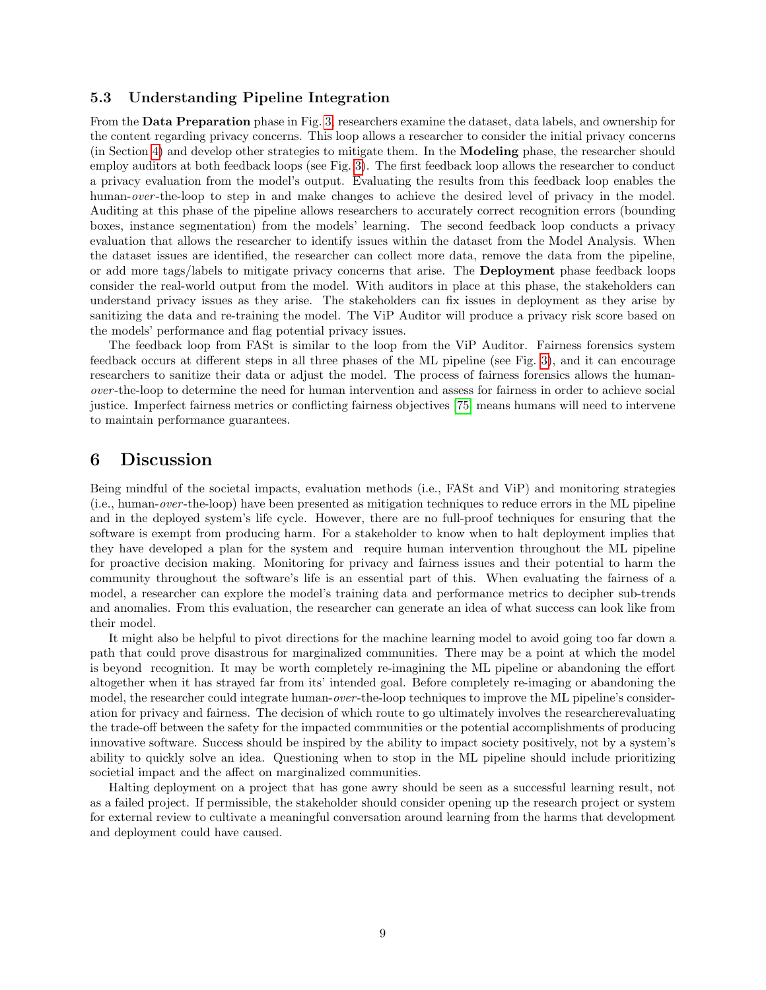#### 5.3 Understanding Pipeline Integration

From the Data Preparation phase in Fig. [3,](#page-7-0) researchers examine the dataset, data labels, and ownership for the content regarding privacy concerns. This loop allows a researcher to consider the initial privacy concerns (in Section [4\)](#page-3-0) and develop other strategies to mitigate them. In the Modeling phase, the researcher should employ auditors at both feedback loops (see Fig. [3\)](#page-7-0). The first feedback loop allows the researcher to conduct a privacy evaluation from the model's output. Evaluating the results from this feedback loop enables the human-over-the-loop to step in and make changes to achieve the desired level of privacy in the model. Auditing at this phase of the pipeline allows researchers to accurately correct recognition errors (bounding boxes, instance segmentation) from the models' learning. The second feedback loop conducts a privacy evaluation that allows the researcher to identify issues within the dataset from the Model Analysis. When the dataset issues are identified, the researcher can collect more data, remove the data from the pipeline, or add more tags/labels to mitigate privacy concerns that arise. The Deployment phase feedback loops consider the real-world output from the model. With auditors in place at this phase, the stakeholders can understand privacy issues as they arise. The stakeholders can fix issues in deployment as they arise by sanitizing the data and re-training the model. The ViP Auditor will produce a privacy risk score based on the models' performance and flag potential privacy issues.

The feedback loop from FASt is similar to the loop from the ViP Auditor. Fairness forensics system feedback occurs at different steps in all three phases of the ML pipeline (see Fig. [3\)](#page-7-0), and it can encourage researchers to sanitize their data or adjust the model. The process of fairness forensics allows the humanover -the-loop to determine the need for human intervention and assess for fairness in order to achieve social justice. Imperfect fairness metrics or conflicting fairness objectives [\[75\]](#page-13-15) means humans will need to intervene to maintain performance guarantees.

## <span id="page-8-0"></span>6 Discussion

Being mindful of the societal impacts, evaluation methods (i.e., FASt and ViP) and monitoring strategies (i.e., human-over -the-loop) have been presented as mitigation techniques to reduce errors in the ML pipeline and in the deployed system's life cycle. However, there are no full-proof techniques for ensuring that the software is exempt from producing harm. For a stakeholder to know when to halt deployment implies that they have developed a plan for the system and require human intervention throughout the ML pipeline for proactive decision making. Monitoring for privacy and fairness issues and their potential to harm the community throughout the software's life is an essential part of this. When evaluating the fairness of a model, a researcher can explore the model's training data and performance metrics to decipher sub-trends and anomalies. From this evaluation, the researcher can generate an idea of what success can look like from their model.

It might also be helpful to pivot directions for the machine learning model to avoid going too far down a path that could prove disastrous for marginalized communities. There may be a point at which the model is beyond recognition. It may be worth completely re-imagining the ML pipeline or abandoning the effort altogether when it has strayed far from its' intended goal. Before completely re-imaging or abandoning the model, the researcher could integrate human-*over*-the-loop techniques to improve the ML pipeline's consideration for privacy and fairness. The decision of which route to go ultimately involves the researcherevaluating the trade-off between the safety for the impacted communities or the potential accomplishments of producing innovative software. Success should be inspired by the ability to impact society positively, not by a system's ability to quickly solve an idea. Questioning when to stop in the ML pipeline should include prioritizing societial impact and the affect on marginalized communities.

Halting deployment on a project that has gone awry should be seen as a successful learning result, not as a failed project. If permissible, the stakeholder should consider opening up the research project or system for external review to cultivate a meaningful conversation around learning from the harms that development and deployment could have caused.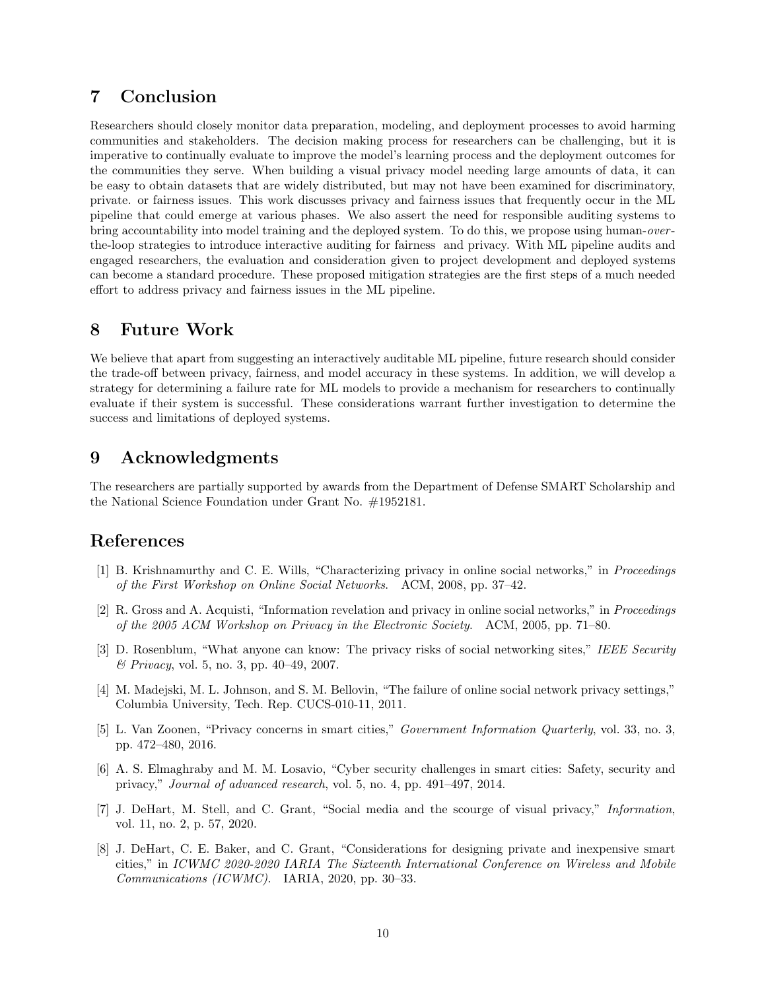## 7 Conclusion

Researchers should closely monitor data preparation, modeling, and deployment processes to avoid harming communities and stakeholders. The decision making process for researchers can be challenging, but it is imperative to continually evaluate to improve the model's learning process and the deployment outcomes for the communities they serve. When building a visual privacy model needing large amounts of data, it can be easy to obtain datasets that are widely distributed, but may not have been examined for discriminatory, private. or fairness issues. This work discusses privacy and fairness issues that frequently occur in the ML pipeline that could emerge at various phases. We also assert the need for responsible auditing systems to bring accountability into model training and the deployed system. To do this, we propose using human-over the-loop strategies to introduce interactive auditing for fairness and privacy. With ML pipeline audits and engaged researchers, the evaluation and consideration given to project development and deployed systems can become a standard procedure. These proposed mitigation strategies are the first steps of a much needed effort to address privacy and fairness issues in the ML pipeline.

## 8 Future Work

We believe that apart from suggesting an interactively auditable ML pipeline, future research should consider the trade-off between privacy, fairness, and model accuracy in these systems. In addition, we will develop a strategy for determining a failure rate for ML models to provide a mechanism for researchers to continually evaluate if their system is successful. These considerations warrant further investigation to determine the success and limitations of deployed systems.

## 9 Acknowledgments

The researchers are partially supported by awards from the Department of Defense SMART Scholarship and the National Science Foundation under Grant No. #1952181.

## References

- <span id="page-9-0"></span>[1] B. Krishnamurthy and C. E. Wills, "Characterizing privacy in online social networks," in Proceedings of the First Workshop on Online Social Networks. ACM, 2008, pp. 37–42.
- <span id="page-9-3"></span>[2] R. Gross and A. Acquisti, "Information revelation and privacy in online social networks," in Proceedings of the 2005 ACM Workshop on Privacy in the Electronic Society. ACM, 2005, pp. 71–80.
- <span id="page-9-4"></span>[3] D. Rosenblum, "What anyone can know: The privacy risks of social networking sites," IEEE Security & Privacy, vol. 5, no. 3, pp. 40–49, 2007.
- <span id="page-9-5"></span>[4] M. Madejski, M. L. Johnson, and S. M. Bellovin, "The failure of online social network privacy settings," Columbia University, Tech. Rep. CUCS-010-11, 2011.
- [5] L. Van Zoonen, "Privacy concerns in smart cities," Government Information Quarterly, vol. 33, no. 3, pp. 472–480, 2016.
- <span id="page-9-6"></span>[6] A. S. Elmaghraby and M. M. Losavio, "Cyber security challenges in smart cities: Safety, security and privacy," Journal of advanced research, vol. 5, no. 4, pp. 491–497, 2014.
- <span id="page-9-1"></span>[7] J. DeHart, M. Stell, and C. Grant, "Social media and the scourge of visual privacy," Information, vol. 11, no. 2, p. 57, 2020.
- <span id="page-9-2"></span>[8] J. DeHart, C. E. Baker, and C. Grant, "Considerations for designing private and inexpensive smart cities," in ICWMC 2020-2020 IARIA The Sixteenth International Conference on Wireless and Mobile Communications (ICWMC). IARIA, 2020, pp. 30–33.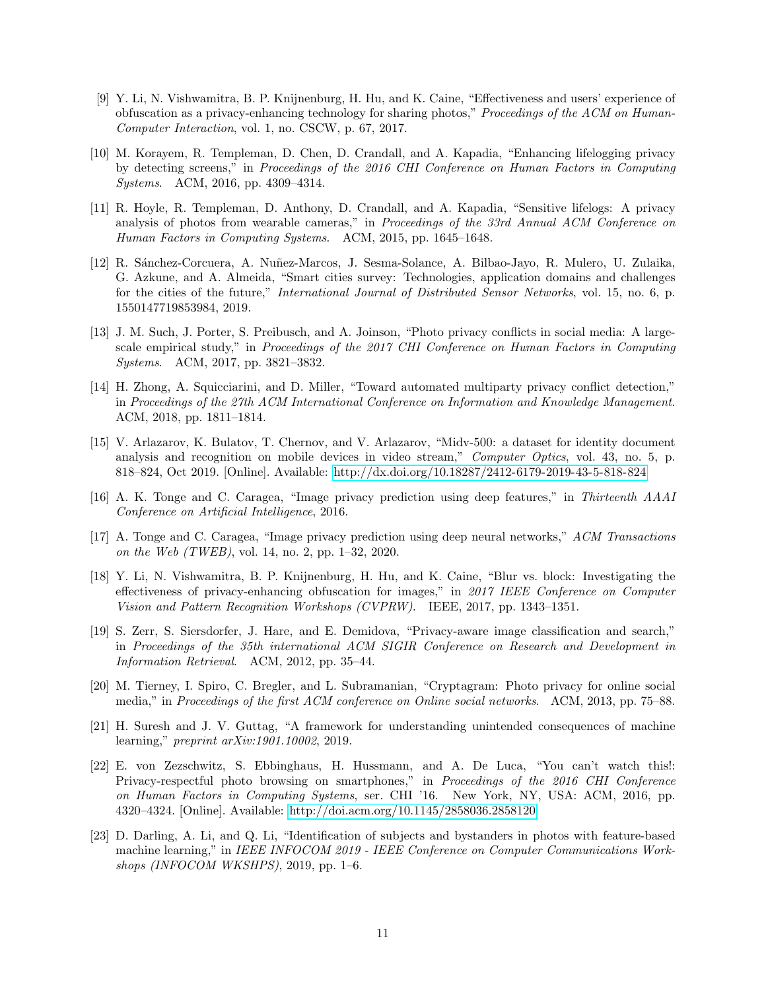- <span id="page-10-0"></span>[9] Y. Li, N. Vishwamitra, B. P. Knijnenburg, H. Hu, and K. Caine, "Effectiveness and users' experience of obfuscation as a privacy-enhancing technology for sharing photos," Proceedings of the ACM on Human-Computer Interaction, vol. 1, no. CSCW, p. 67, 2017.
- <span id="page-10-1"></span>[10] M. Korayem, R. Templeman, D. Chen, D. Crandall, and A. Kapadia, "Enhancing lifelogging privacy by detecting screens," in Proceedings of the 2016 CHI Conference on Human Factors in Computing Systems. ACM, 2016, pp. 4309–4314.
- [11] R. Hoyle, R. Templeman, D. Anthony, D. Crandall, and A. Kapadia, "Sensitive lifelogs: A privacy analysis of photos from wearable cameras," in Proceedings of the 33rd Annual ACM Conference on Human Factors in Computing Systems. ACM, 2015, pp. 1645–1648.
- <span id="page-10-2"></span>[12] R. Sánchez-Corcuera, A. Nuñez-Marcos, J. Sesma-Solance, A. Bilbao-Jayo, R. Mulero, U. Zulaika, G. Azkune, and A. Almeida, "Smart cities survey: Technologies, application domains and challenges for the cities of the future," International Journal of Distributed Sensor Networks, vol. 15, no. 6, p. 1550147719853984, 2019.
- <span id="page-10-3"></span>[13] J. M. Such, J. Porter, S. Preibusch, and A. Joinson, "Photo privacy conflicts in social media: A largescale empirical study," in Proceedings of the 2017 CHI Conference on Human Factors in Computing Systems. ACM, 2017, pp. 3821–3832.
- <span id="page-10-4"></span>[14] H. Zhong, A. Squicciarini, and D. Miller, "Toward automated multiparty privacy conflict detection," in Proceedings of the 27th ACM International Conference on Information and Knowledge Management. ACM, 2018, pp. 1811–1814.
- [15] V. Arlazarov, K. Bulatov, T. Chernov, and V. Arlazarov, "Midv-500: a dataset for identity document analysis and recognition on mobile devices in video stream," Computer Optics, vol. 43, no. 5, p. 818–824, Oct 2019. [Online]. Available:<http://dx.doi.org/10.18287/2412-6179-2019-43-5-818-824>
- <span id="page-10-10"></span>[16] A. K. Tonge and C. Caragea, "Image privacy prediction using deep features," in Thirteenth AAAI Conference on Artificial Intelligence, 2016.
- <span id="page-10-11"></span>[17] A. Tonge and C. Caragea, "Image privacy prediction using deep neural networks," ACM Transactions on the Web (TWEB), vol. 14, no. 2, pp. 1–32, 2020.
- <span id="page-10-8"></span>[18] Y. Li, N. Vishwamitra, B. P. Knijnenburg, H. Hu, and K. Caine, "Blur vs. block: Investigating the effectiveness of privacy-enhancing obfuscation for images," in 2017 IEEE Conference on Computer Vision and Pattern Recognition Workshops (CVPRW). IEEE, 2017, pp. 1343–1351.
- <span id="page-10-9"></span>[19] S. Zerr, S. Siersdorfer, J. Hare, and E. Demidova, "Privacy-aware image classification and search," in Proceedings of the 35th international ACM SIGIR Conference on Research and Development in Information Retrieval. ACM, 2012, pp. 35–44.
- <span id="page-10-5"></span>[20] M. Tierney, I. Spiro, C. Bregler, and L. Subramanian, "Cryptagram: Photo privacy for online social media," in Proceedings of the first ACM conference on Online social networks. ACM, 2013, pp. 75–88.
- <span id="page-10-6"></span>[21] H. Suresh and J. V. Guttag, "A framework for understanding unintended consequences of machine learning," preprint arXiv:1901.10002, 2019.
- <span id="page-10-7"></span>[22] E. von Zezschwitz, S. Ebbinghaus, H. Hussmann, and A. De Luca, "You can't watch this!: Privacy-respectful photo browsing on smartphones," in Proceedings of the 2016 CHI Conference on Human Factors in Computing Systems, ser. CHI '16. New York, NY, USA: ACM, 2016, pp. 4320–4324. [Online]. Available:<http://doi.acm.org/10.1145/2858036.2858120>
- <span id="page-10-12"></span>[23] D. Darling, A. Li, and Q. Li, "Identification of subjects and bystanders in photos with feature-based machine learning," in IEEE INFOCOM 2019 - IEEE Conference on Computer Communications Workshops (INFOCOM WKSHPS), 2019, pp. 1–6.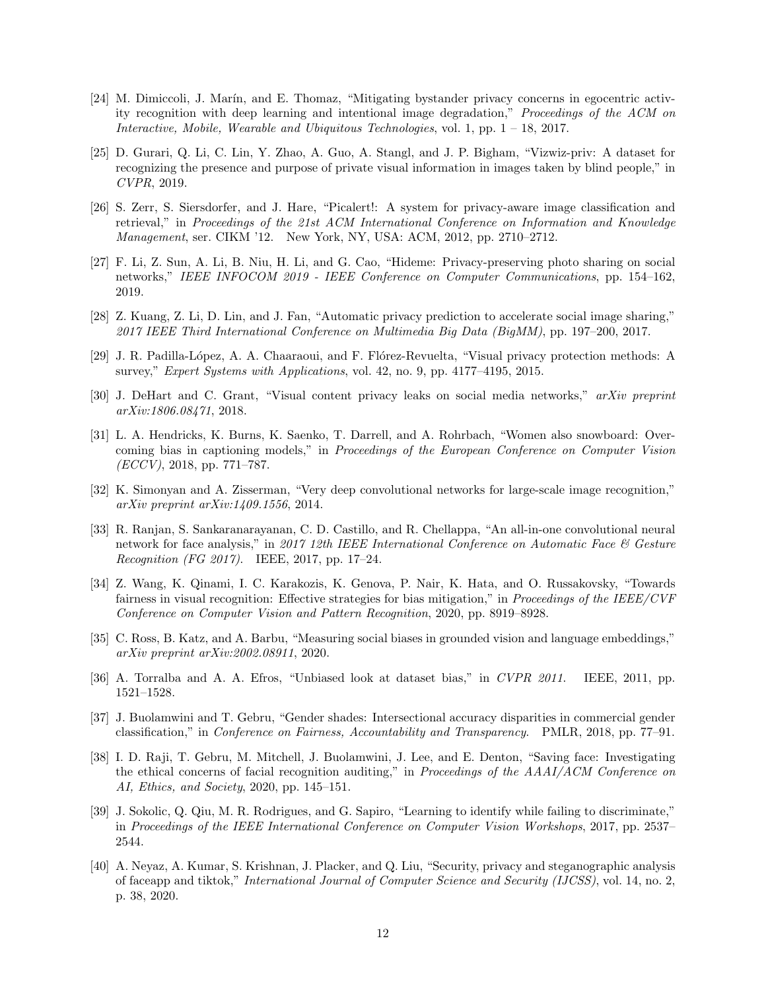- <span id="page-11-14"></span>[24] M. Dimiccoli, J. Marín, and E. Thomaz, "Mitigating bystander privacy concerns in egocentric activity recognition with deep learning and intentional image degradation," Proceedings of the ACM on Interactive, Mobile, Wearable and Ubiquitous Technologies, vol. 1, pp. 1 – 18, 2017.
- <span id="page-11-0"></span>[25] D. Gurari, Q. Li, C. Lin, Y. Zhao, A. Guo, A. Stangl, and J. P. Bigham, "Vizwiz-priv: A dataset for recognizing the presence and purpose of private visual information in images taken by blind people," in CVPR, 2019.
- <span id="page-11-1"></span>[26] S. Zerr, S. Siersdorfer, and J. Hare, "Picalert!: A system for privacy-aware image classification and retrieval," in Proceedings of the 21st ACM International Conference on Information and Knowledge Management, ser. CIKM '12. New York, NY, USA: ACM, 2012, pp. 2710–2712.
- <span id="page-11-15"></span>[27] F. Li, Z. Sun, A. Li, B. Niu, H. Li, and G. Cao, "Hideme: Privacy-preserving photo sharing on social networks," IEEE INFOCOM 2019 - IEEE Conference on Computer Communications, pp. 154–162, 2019.
- <span id="page-11-2"></span>[28] Z. Kuang, Z. Li, D. Lin, and J. Fan, "Automatic privacy prediction to accelerate social image sharing," 2017 IEEE Third International Conference on Multimedia Big Data (BigMM), pp. 197–200, 2017.
- <span id="page-11-3"></span>[29] J. R. Padilla-López, A. A. Chaaraoui, and F. Flórez-Revuelta, "Visual privacy protection methods: A survey," Expert Systems with Applications, vol. 42, no. 9, pp. 4177–4195, 2015.
- <span id="page-11-4"></span>[30] J. DeHart and C. Grant, "Visual content privacy leaks on social media networks," arXiv preprint arXiv:1806.08471, 2018.
- <span id="page-11-5"></span>[31] L. A. Hendricks, K. Burns, K. Saenko, T. Darrell, and A. Rohrbach, "Women also snowboard: Overcoming bias in captioning models," in Proceedings of the European Conference on Computer Vision  $(ECCV)$ , 2018, pp. 771–787.
- [32] K. Simonyan and A. Zisserman, "Very deep convolutional networks for large-scale image recognition," arXiv preprint arXiv:1409.1556, 2014.
- <span id="page-11-6"></span>[33] R. Ranjan, S. Sankaranarayanan, C. D. Castillo, and R. Chellappa, "An all-in-one convolutional neural network for face analysis," in 2017 12th IEEE International Conference on Automatic Face & Gesture Recognition (FG 2017). IEEE, 2017, pp. 17–24.
- <span id="page-11-7"></span>[34] Z. Wang, K. Qinami, I. C. Karakozis, K. Genova, P. Nair, K. Hata, and O. Russakovsky, "Towards fairness in visual recognition: Effective strategies for bias mitigation," in Proceedings of the IEEE/CVF Conference on Computer Vision and Pattern Recognition, 2020, pp. 8919–8928.
- <span id="page-11-8"></span>[35] C. Ross, B. Katz, and A. Barbu, "Measuring social biases in grounded vision and language embeddings," arXiv preprint arXiv:2002.08911, 2020.
- <span id="page-11-9"></span>[36] A. Torralba and A. A. Efros, "Unbiased look at dataset bias," in CVPR 2011. IEEE, 2011, pp. 1521–1528.
- <span id="page-11-10"></span>[37] J. Buolamwini and T. Gebru, "Gender shades: Intersectional accuracy disparities in commercial gender classification," in Conference on Fairness, Accountability and Transparency. PMLR, 2018, pp. 77–91.
- <span id="page-11-11"></span>[38] I. D. Raji, T. Gebru, M. Mitchell, J. Buolamwini, J. Lee, and E. Denton, "Saving face: Investigating the ethical concerns of facial recognition auditing," in Proceedings of the AAAI/ACM Conference on AI, Ethics, and Society, 2020, pp. 145–151.
- <span id="page-11-12"></span>[39] J. Sokolic, Q. Qiu, M. R. Rodrigues, and G. Sapiro, "Learning to identify while failing to discriminate," in Proceedings of the IEEE International Conference on Computer Vision Workshops, 2017, pp. 2537– 2544.
- <span id="page-11-13"></span>[40] A. Neyaz, A. Kumar, S. Krishnan, J. Placker, and Q. Liu, "Security, privacy and steganographic analysis of faceapp and tiktok," International Journal of Computer Science and Security (IJCSS), vol. 14, no. 2, p. 38, 2020.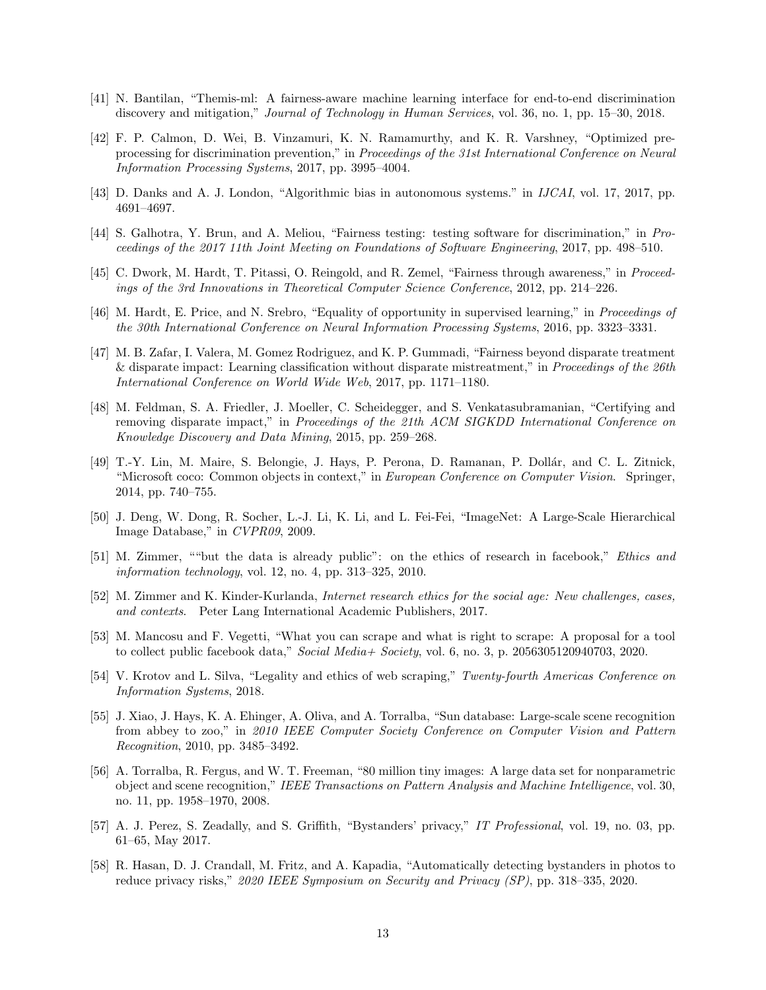- <span id="page-12-7"></span>[41] N. Bantilan, "Themis-ml: A fairness-aware machine learning interface for end-to-end discrimination discovery and mitigation," Journal of Technology in Human Services, vol. 36, no. 1, pp. 15–30, 2018.
- <span id="page-12-8"></span>[42] F. P. Calmon, D. Wei, B. Vinzamuri, K. N. Ramamurthy, and K. R. Varshney, "Optimized preprocessing for discrimination prevention," in Proceedings of the 31st International Conference on Neural Information Processing Systems, 2017, pp. 3995–4004.
- <span id="page-12-9"></span>[43] D. Danks and A. J. London, "Algorithmic bias in autonomous systems." in IJCAI, vol. 17, 2017, pp. 4691–4697.
- <span id="page-12-10"></span>[44] S. Galhotra, Y. Brun, and A. Meliou, "Fairness testing: testing software for discrimination," in Proceedings of the 2017 11th Joint Meeting on Foundations of Software Engineering, 2017, pp. 498–510.
- <span id="page-12-11"></span>[45] C. Dwork, M. Hardt, T. Pitassi, O. Reingold, and R. Zemel, "Fairness through awareness," in Proceedings of the 3rd Innovations in Theoretical Computer Science Conference, 2012, pp. 214–226.
- <span id="page-12-12"></span>[46] M. Hardt, E. Price, and N. Srebro, "Equality of opportunity in supervised learning," in Proceedings of the 30th International Conference on Neural Information Processing Systems, 2016, pp. 3323–3331.
- <span id="page-12-13"></span>[47] M. B. Zafar, I. Valera, M. Gomez Rodriguez, and K. P. Gummadi, "Fairness beyond disparate treatment & disparate impact: Learning classification without disparate mistreatment," in Proceedings of the 26th International Conference on World Wide Web, 2017, pp. 1171–1180.
- <span id="page-12-14"></span>[48] M. Feldman, S. A. Friedler, J. Moeller, C. Scheidegger, and S. Venkatasubramanian, "Certifying and removing disparate impact," in Proceedings of the 21th ACM SIGKDD International Conference on Knowledge Discovery and Data Mining, 2015, pp. 259–268.
- <span id="page-12-0"></span>[49] T.-Y. Lin, M. Maire, S. Belongie, J. Hays, P. Perona, D. Ramanan, P. Dollár, and C. L. Zitnick, "Microsoft coco: Common objects in context," in European Conference on Computer Vision. Springer, 2014, pp. 740–755.
- <span id="page-12-1"></span>[50] J. Deng, W. Dong, R. Socher, L.-J. Li, K. Li, and L. Fei-Fei, "ImageNet: A Large-Scale Hierarchical Image Database," in CVPR09, 2009.
- <span id="page-12-2"></span>[51] M. Zimmer, ""but the data is already public": on the ethics of research in facebook," Ethics and information technology, vol. 12, no. 4, pp. 313–325, 2010.
- [52] M. Zimmer and K. Kinder-Kurlanda, *Internet research ethics for the social age: New challenges, cases*, and contexts. Peter Lang International Academic Publishers, 2017.
- [53] M. Mancosu and F. Vegetti, "What you can scrape and what is right to scrape: A proposal for a tool to collect public facebook data," Social Media+ Society, vol. 6, no. 3, p. 2056305120940703, 2020.
- <span id="page-12-3"></span>[54] V. Krotov and L. Silva, "Legality and ethics of web scraping," Twenty-fourth Americas Conference on Information Systems, 2018.
- <span id="page-12-4"></span>[55] J. Xiao, J. Hays, K. A. Ehinger, A. Oliva, and A. Torralba, "Sun database: Large-scale scene recognition from abbey to zoo," in 2010 IEEE Computer Society Conference on Computer Vision and Pattern Recognition, 2010, pp. 3485–3492.
- <span id="page-12-5"></span>[56] A. Torralba, R. Fergus, and W. T. Freeman, "80 million tiny images: A large data set for nonparametric object and scene recognition," IEEE Transactions on Pattern Analysis and Machine Intelligence, vol. 30, no. 11, pp. 1958–1970, 2008.
- <span id="page-12-6"></span>[57] A. J. Perez, S. Zeadally, and S. Griffith, "Bystanders' privacy," IT Professional, vol. 19, no. 03, pp. 61–65, May 2017.
- [58] R. Hasan, D. J. Crandall, M. Fritz, and A. Kapadia, "Automatically detecting bystanders in photos to reduce privacy risks," 2020 IEEE Symposium on Security and Privacy (SP), pp. 318–335, 2020.